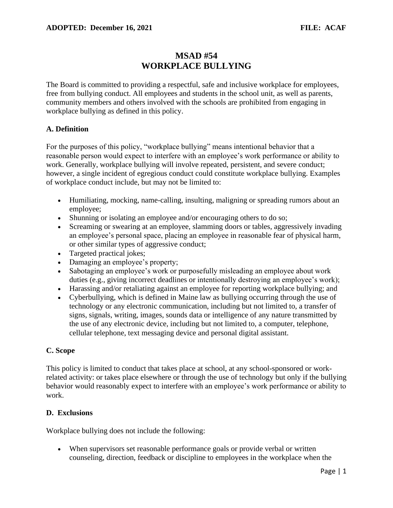# **MSAD #54 WORKPLACE BULLYING**

The Board is committed to providing a respectful, safe and inclusive workplace for employees, free from bullying conduct. All employees and students in the school unit, as well as parents, community members and others involved with the schools are prohibited from engaging in workplace bullying as defined in this policy.

## **A. Definition**

For the purposes of this policy, "workplace bullying" means intentional behavior that a reasonable person would expect to interfere with an employee's work performance or ability to work. Generally, workplace bullying will involve repeated, persistent, and severe conduct; however, a single incident of egregious conduct could constitute workplace bullying. Examples of workplace conduct include, but may not be limited to:

- Humiliating, mocking, name-calling, insulting, maligning or spreading rumors about an employee;
- Shunning or isolating an employee and/or encouraging others to do so;
- Screaming or swearing at an employee, slamming doors or tables, aggressively invading an employee's personal space, placing an employee in reasonable fear of physical harm, or other similar types of aggressive conduct;
- Targeted practical jokes;
- Damaging an employee's property:
- Sabotaging an employee's work or purposefully misleading an employee about work duties (e.g., giving incorrect deadlines or intentionally destroying an employee's work);
- Harassing and/or retaliating against an employee for reporting workplace bullying; and
- Cyberbullying, which is defined in Maine law as bullying occurring through the use of technology or any electronic communication, including but not limited to, a transfer of signs, signals, writing, images, sounds data or intelligence of any nature transmitted by the use of any electronic device, including but not limited to, a computer, telephone, cellular telephone, text messaging device and personal digital assistant.

### **C. Scope**

This policy is limited to conduct that takes place at school, at any school-sponsored or workrelated activity: or takes place elsewhere or through the use of technology but only if the bullying behavior would reasonably expect to interfere with an employee's work performance or ability to work.

### **D. Exclusions**

Workplace bullying does not include the following:

• When supervisors set reasonable performance goals or provide verbal or written counseling, direction, feedback or discipline to employees in the workplace when the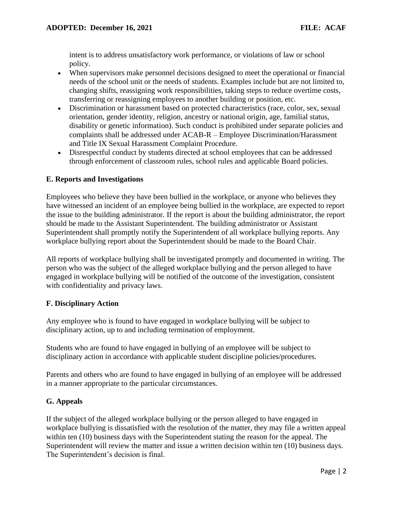intent is to address unsatisfactory work performance, or violations of law or school policy.

- When supervisors make personnel decisions designed to meet the operational or financial needs of the school unit or the needs of students. Examples include but are not limited to, changing shifts, reassigning work responsibilities, taking steps to reduce overtime costs, transferring or reassigning employees to another building or position, etc.
- Discrimination or harassment based on protected characteristics (race, color, sex, sexual orientation, gender identity, religion, ancestry or national origin, age, familial status, disability or genetic information). Such conduct is prohibited under separate policies and complaints shall be addressed under ACAB-R – Employee Discrimination/Harassment and Title IX Sexual Harassment Complaint Procedure.
- Disrespectful conduct by students directed at school employees that can be addressed through enforcement of classroom rules, school rules and applicable Board policies.

### **E. Reports and Investigations**

Employees who believe they have been bullied in the workplace, or anyone who believes they have witnessed an incident of an employee being bullied in the workplace, are expected to report the issue to the building administrator. If the report is about the building administrator, the report should be made to the Assistant Superintendent. The building administrator or Assistant Superintendent shall promptly notify the Superintendent of all workplace bullying reports. Any workplace bullying report about the Superintendent should be made to the Board Chair.

All reports of workplace bullying shall be investigated promptly and documented in writing. The person who was the subject of the alleged workplace bullying and the person alleged to have engaged in workplace bullying will be notified of the outcome of the investigation, consistent with confidentiality and privacy laws.

### **F. Disciplinary Action**

Any employee who is found to have engaged in workplace bullying will be subject to disciplinary action, up to and including termination of employment.

Students who are found to have engaged in bullying of an employee will be subject to disciplinary action in accordance with applicable student discipline policies/procedures.

Parents and others who are found to have engaged in bullying of an employee will be addressed in a manner appropriate to the particular circumstances.

### **G. Appeals**

If the subject of the alleged workplace bullying or the person alleged to have engaged in workplace bullying is dissatisfied with the resolution of the matter, they may file a written appeal within ten (10) business days with the Superintendent stating the reason for the appeal. The Superintendent will review the matter and issue a written decision within ten (10) business days. The Superintendent's decision is final.